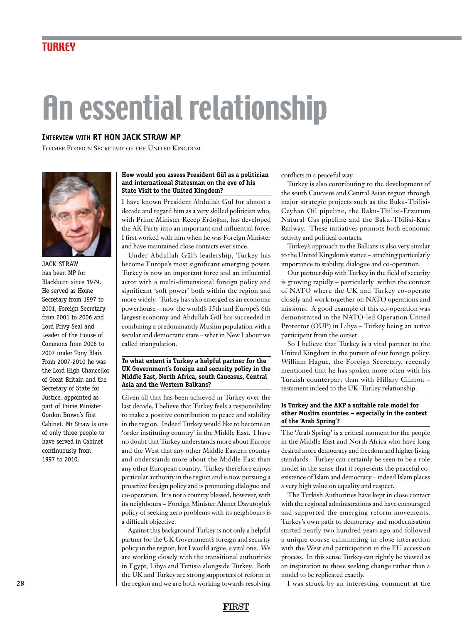# An essential relationship

# **Interview with rt hon jack straw mp**

Former Foreign Secretary of the United Kingdom



jack straw has been MP for Blackburn since 1979. He served as Home Secretary from 1997 to 2001, Foreign Secretary from 2001 to 2006 and Lord Privy Seal and Leader of the House of Commons from 2006 to 2007 under Tony Blair. From 2007-2010 he was the Lord High Chancellor of Great Britain and the Secretary of State for Justice, appointed as part of Prime Minister Gordon Brown's first Cabinet. Mr Straw is one of only three people to have served in Cabinet continuously from 1997 to 2010.

### **How would you assess President Gül as a politician and international Statesman on the eve of his State Visit to the United Kingdom?**

I have known President Abdullah Gül for almost a decade and regard him as a very skilled politician who, with Prime Minister Recep Erdogan, has developed the AK Party into an important and influential force. I first worked with him when he was Foreign Minister and have maintained close contacts ever since.

Under Abdullah Gül's leadership, Turkey has become Europe's most significant emerging power. Turkey is now an important force and an influential actor with a multi-dimensional foreign policy and significant 'soft power' both within the region and more widely. Turkey has also emerged as an economic powerhouse – now the world's 15th and Europe's 6th largest economy and Abdullah Gül has succeeded in combining a predominantly Muslim population with a secular and democratic state – what in New Labour we called triangulation.

### **To what extent is Turkey a helpful partner for the UK Government's foreign and security policy in the Middle East, North Africa, south Caucasus, Central Asia and the Western Balkans?**

Given all that has been achieved in Turkey over the last decade, I believe that Turkey feels a responsibility to make a positive contribution to peace and stability in the region. Indeed Turkey would like to become an 'order instituting country' in the Middle East. I have no doubt that Turkey understands more about Europe and the West that any other Middle Eastern country and understands more about the Middle East than any other European country. Turkey therefore enjoys particular authority in the region and is now pursuing a proactive foreign policy and is promoting dialogue and co-operation. It is not a country blessed, however, with its neighbours – Foreign Minister Ahmet Davutoglu's policy of seeking zero problems with its neighbours is a difficult objective.

Against this background Turkey is not only a helpful partner for the UK Government's foreign and security policy in the region, but I would argue, a vital one. We are working closely with the transitional authorities in Egypt, Libya and Tunisia alongside Turkey. Both the UK and Turkey are strong supporters of reform in the region and we are both working towards resolving conflicts in a peaceful way.

Turkey is also contributing to the development of the south Caucasus and Central Asian region through major strategic projects such as the Buku-Tbilisi-Ceyhan Oil pipeline, the Baku-Tbilisi-Erzurum Natural Gas pipeline and the Baku-Tbilisi-Kars Railway. These initiatives promote both economic activity and political contacts.

Turkey's approach to the Balkans is also very similar to the United Kingdom's stance – attaching particularly importance to stability, dialogue and co-operation.

Our partnership with Turkey in the field of security is growing rapidly – particularly within the context of NATO where the UK and Turkey co-operate closely and work together on NATO operations and missions. A good example of this co-operation was demonstrated in the NATO-led Operation United Protector (OUP) in Libya – Turkey being an active participant from the outset.

So I believe that Turkey is a vital partner to the United Kingdom in the pursuit of our foreign policy. William Hague, the Foreign Secretary, recently mentioned that he has spoken more often with his Turkish counterpart than with Hillary Clinton – testament indeed to the UK-Turkey relationship.

# **Is Turkey and the AKP a suitable role model for other Muslim countries – especially in the context of the 'Arab Spring'?**

The 'Arab Spring' is a critical moment for the people in the Middle East and North Africa who have long desired more democracy and freedom and higher living standards. Turkey can certainly be seen to be a role model in the sense that it represents the peaceful coexistence of Islam and democracy – indeed Islam places a very high value on equality and respect.

The Turkish Authorities have kept in close contact with the regional administrations and have encouraged and supported the emerging reform movements. Turkey's own path to democracy and modernisation started nearly two hundred years ago and followed a unique course culminating in close interaction with the West and participation in the EU accession process. In this sense Turkey can rightly be viewed as an inspiration to those seeking change rather than a model to be replicated exactly.

I was struck by an interesting comment at the